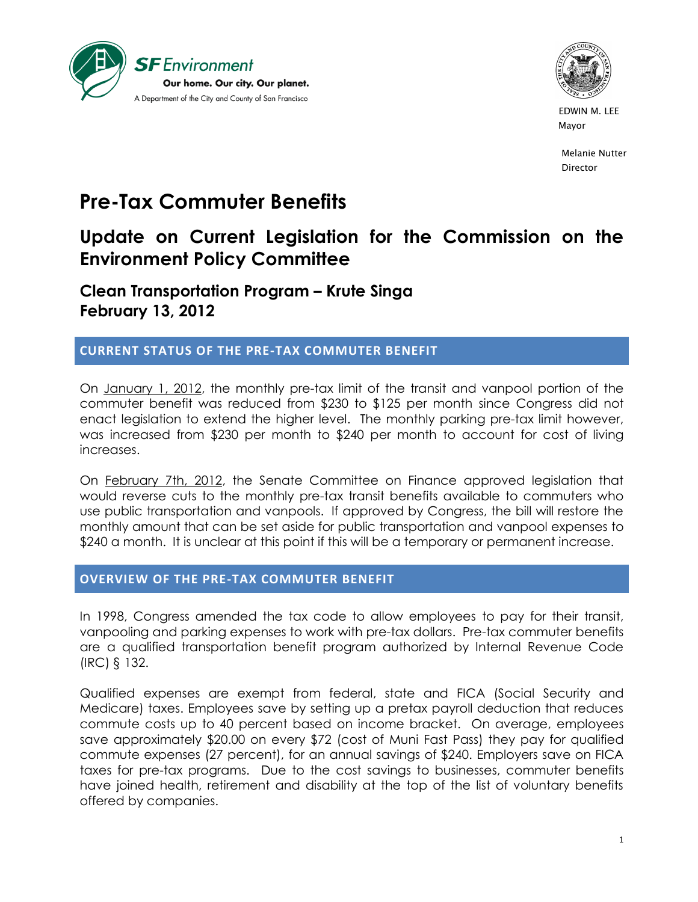



 EDWIN M. LEE Mayor and the contract of the contract of the contract of the contract of the contract of the contract of the contract of the contract of the contract of the contract of the contract of the contract of the contract of the

> Melanie Nutter Director

# **Pre-Tax Commuter Benefits**

## **Update on Current Legislation for the Commission on the Environment Policy Committee**

**Clean Transportation Program – Krute Singa February 13, 2012**

### **CURRENT STATUS OF THE PRE-TAX COMMUTER BENEFIT**

On January 1, 2012, the monthly pre-tax limit of the transit and vanpool portion of the commuter benefit was reduced from \$230 to \$125 per month since Congress did not enact legislation to extend the higher level. The monthly parking pre-tax limit however, was increased from \$230 per month to \$240 per month to account for cost of living increases.

On February 7th, 2012, the Senate Committee on Finance approved legislation that would reverse cuts to the monthly pre-tax transit benefits available to commuters who use public transportation and vanpools. If approved by Congress, the bill will restore the monthly amount that can be set aside for public transportation and vanpool expenses to \$240 a month. It is unclear at this point if this will be a temporary or permanent increase.

#### **OVERVIEW OF THE PRE-TAX COMMUTER BENEFIT**

In 1998, Congress amended the tax code to allow employees to pay for their transit, vanpooling and parking expenses to work with pre-tax dollars. Pre-tax commuter benefits are a qualified transportation benefit program authorized by Internal Revenue Code (IRC) § 132.

Qualified expenses are exempt from federal, state and FICA (Social Security and Medicare) taxes. Employees save by setting up a pretax payroll deduction that reduces commute costs up to 40 percent based on income bracket. On average, employees save approximately \$20.00 on every \$72 (cost of Muni Fast Pass) they pay for qualified commute expenses (27 percent), for an annual savings of \$240. Employers save on FICA taxes for pre-tax programs. Due to the cost savings to businesses, commuter benefits have joined health, retirement and disability at the top of the list of voluntary benefits offered by companies.